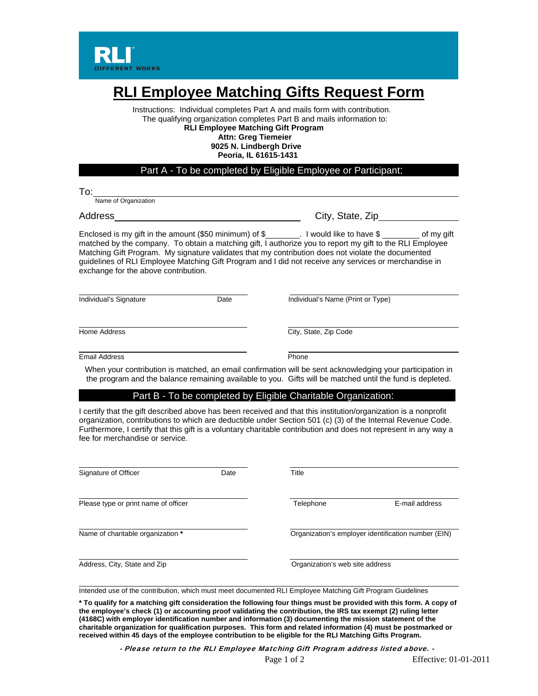

# **RLI Employee Matching Gifts Request Form**<br>Instructions: Individual completes Part A and mails form with contribution.

The qualifying organization completes Part B and mails information to: **RLI Employee Matching Gift Program** 

### **Attn: Greg Tiemeier 9025 N. Lindbergh Drive Peoria, IL 61615-1431**

|--|

To: Name of Organization

Address City, State, Zip

Enclosed is my gift in the amount (\$50 minimum) of \$ . I would like to have \$ of my gift matched by the company. To obtain a matching gift, I authorize you to report my gift to the RLI Employee Matching Gift Program. My signature validates that my contribution does not violate the documented guidelines of RLI Employee Matching Gift Program and I did not receive any services or merchandise in exchange for the above contribution.

Individual's Signature **Date** Date Individual's Name (Print or Type)

Home Address City, State, Zip Code

**Email Address** Phone

When your contribution is matched, an email confirmation will be sent acknowledging your participation in the program and the balance remaining available to you. Gifts will be matched until the fund is depleted.

#### Part B - To be completed by Eligible Charitable Organization:

I certify that the gift described above has been received and that this institution/organization is a nonprofit organization, contributions to which are deductible under Section 501 (c) (3) of the Internal Revenue Code. Furthermore, I certify that this gift is a voluntary charitable contribution and does not represent in any way a fee for merchandise or service.

| Signature of Officer                 | Date | Title                                               |                                 |  |
|--------------------------------------|------|-----------------------------------------------------|---------------------------------|--|
| Please type or print name of officer |      | Telephone                                           | E-mail address                  |  |
| Name of charitable organization *    |      | Organization's employer identification number (EIN) |                                 |  |
| Address, City, State and Zip         |      |                                                     | Organization's web site address |  |

Intended use of the contribution, which must meet documented RLI Employee Matching Gift Program Guidelines

**\* To qualify for a matching gift consideration the following four things must be provided with this form. A copy of the employee's check (1) or accounting proof validating the contribution, the IRS tax exempt (2) ruling letter (4168C) with employer identification number and information (3) documenting the mission statement of the charitable organization for qualification purposes. This form and related information (4) must be postmarked or received within 45 days of the employee contribution to be eligible for the RLI Matching Gifts Program.**

- Please return to the RLI Employee Matching Gift Program address listed above. -